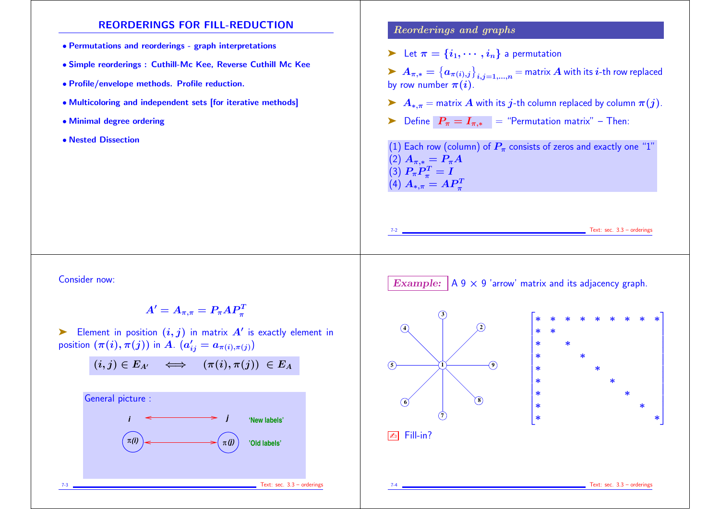### REORDERINGS FOR FILL-REDUCTION

- Permutations and reorderings graph interpretations
- Simple reorderings : Cuthill-Mc Kee, Reverse Cuthill Mc Kee
- Profile/envelope methods. Profile reduction.
- Multicoloring and independent sets [for iterative methods]
- Minimal degree ordering
- Nested Dissection

### Reorderings and graphs

- $\blacktriangleright$  Let  $\pi = \{i_1, \cdots, i_n\}$  a permutation
- $\blacktriangleright~ A_{\pi,*} = \big\{a_{\pi(i),j}\big\}_{i,j=1,...,n}$   $=$  matrix  $A$  with its  $i$ -th row replaced by row number  $\pi(i)$ .
- A\*, $\pi$  = matrix A with its j-th column replaced by column  $\pi(j)$ .
- ► Define  $P_{\pi} = I_{\pi,*}$  = "Permutation matrix" Then:

(1) Each row (column) of  $P_\pi$  consists of zeros and exactly one "1"  $(2)$   $A_{\pi,*} = P_{\pi}A$ (3)  $\boldsymbol{P_\pi P_\pi^T}$  $\frac{\partial T}{\partial \pi} = I$  $\left( \text{4}\right) A_{\ast ,\pi }=AP_{\pi }^{T}$ 

Text: sec.  $3.3$  – orderings

Consider now:

 $A'=A_{\pi,\pi}=P_\pi AP_\pi^T$ 

 $\blacktriangleright$  Element in position  $(i,j)$  in matrix  $A'$  is exactly element in position  $(\pi(i),\pi(j))$  in  $A_{\cdot}\;(a_{ij}'=a_{\pi(i),\pi(j)})$ 

$$
(i,j)\in E_{A'}\quad\Longleftrightarrow\quad (\pi(i),\pi(j))\ \in E_A
$$



Example:  $A 9 \times 9$  'arrow' matrix and its adjacency graph.





Text: sec.  $3.3$  – orderings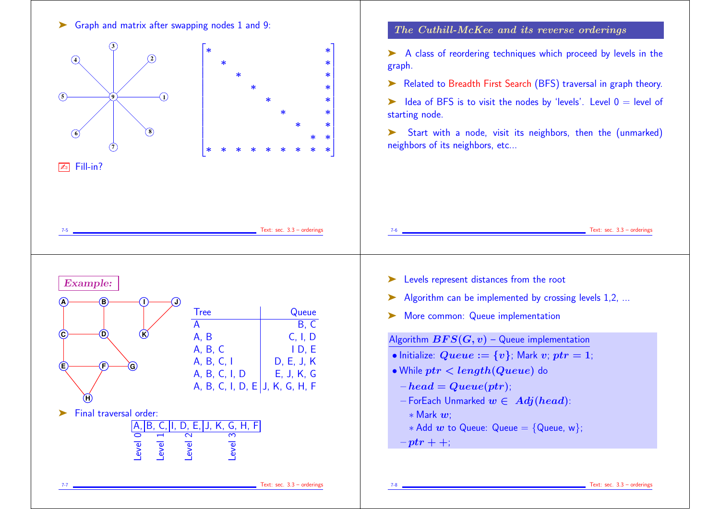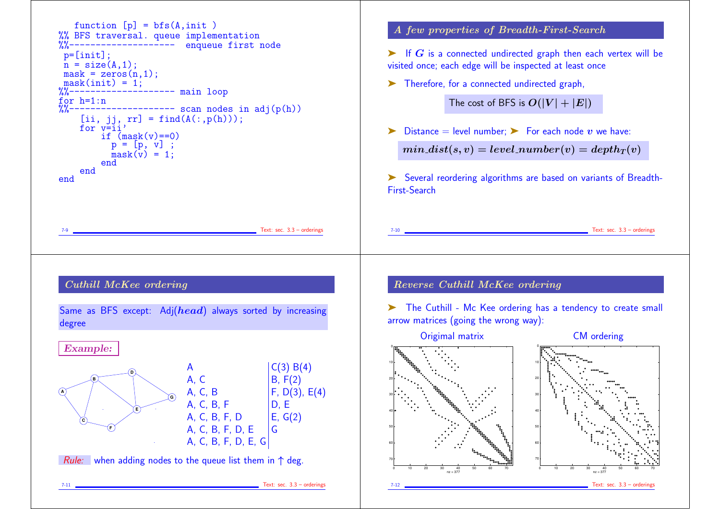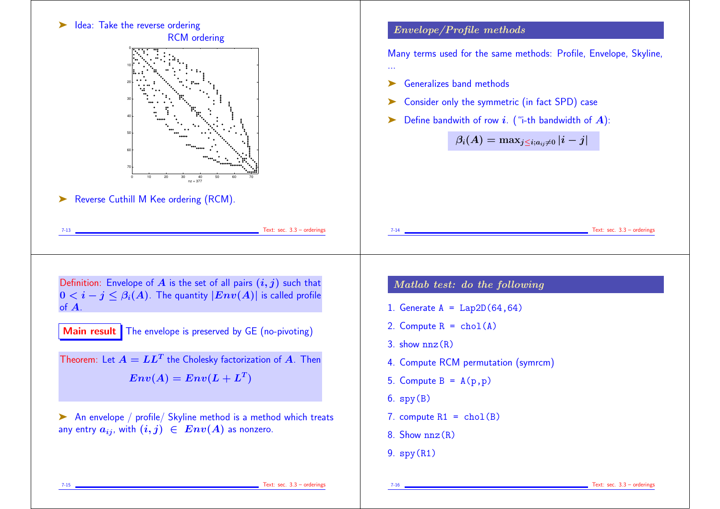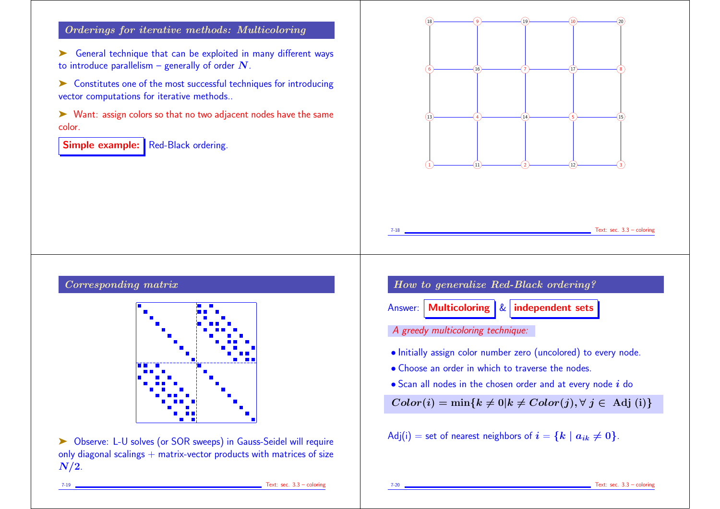### Orderings for iterative methods: Multicoloring

➤ General technique that can be exploited in many different ways to introduce parallelism – generally of order  $N$ .

➤ Constitutes one of the most successful techniques for introducing vector computations for iterative methods..

➤ Want: assign colors so that no two adjacent nodes have the same color.

Simple example: Red-Black ordering.



# Corresponding matrix



➤ Observe: L-U solves (or SOR sweeps) in Gauss-Seidel will require only diagonal scalings  $+$  matrix-vector products with matrices of size  $N/2$ .

How to generalize Red-Black ordering? Answer: Multicoloring  $\&$  independent sets A greedy multicoloring technique:

- Initially assign color number zero (uncolored) to every node.
- Choose an order in which to traverse the nodes.
- $\bullet$  Scan all nodes in the chosen order and at every node  $i$  do

 $Color(i) = min\{k \neq 0 | k \neq Color(j), \forall j \in Adj(i)\}$ 

Adj(i) = set of nearest neighbors of 
$$
i = \{k \mid a_{ik} \neq 0\}
$$
.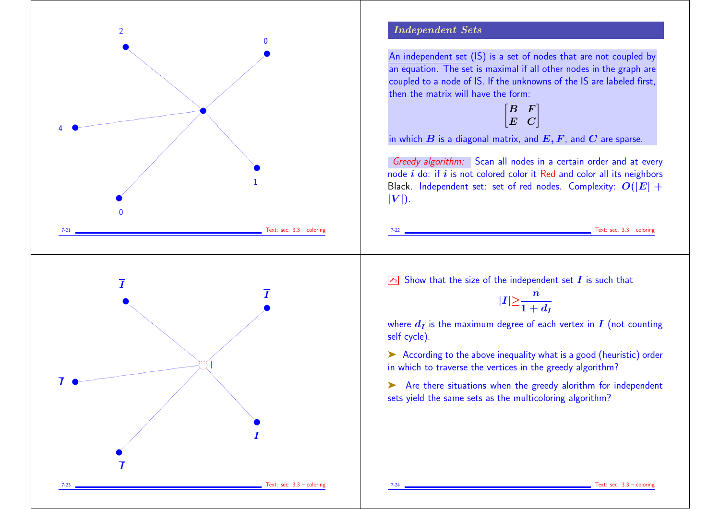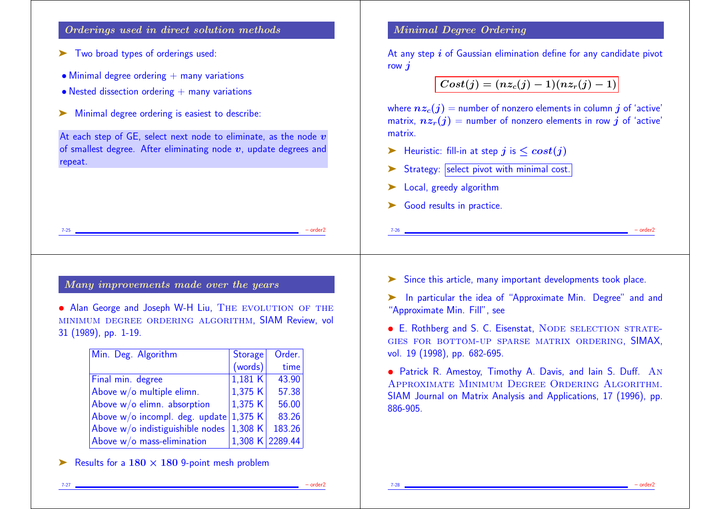#### Orderings used in direct solution methods

- ➤ Two broad types of orderings used:
- $\bullet$  Minimal degree ordering  $+$  many variations
- $\bullet$  Nested dissection ordering  $+$  many variations
- ➤ Minimal degree ordering is easiest to describe:

At each step of GE, select next node to eliminate, as the node  $v$ of smallest degree. After eliminating node  $v$ , update degrees and repeat.

### Minimal Degree Ordering

At any step  $i$  of Gaussian elimination define for any candidate pivot row  $\boldsymbol{i}$ 

 $Cost(j) = (nz<sub>c</sub>(j) - 1)(nz<sub>r</sub>(j) - 1)$ 

where  $nz_c(j)$  = number of nonzero elements in column j of 'active' matrix,  $nz_r(j)$  = number of nonzero elements in row j of 'active' matrix.

- External Heuristic: fill-in at step j is  $\leq cost(j)$
- Strategy: select pivot with minimal cost.
- Local, greedy algorithm
- ► Good results in practice.

7-25 – order2

### Many improvements made over the years

• Alan George and Joseph W-H Liu, THE EVOLUTION OF THE minimum degree ordering algorithm, SIAM Review, vol 31 (1989), pp. 1-19.

| Min. Deg. Algorithm              | <b>Storage</b>  | Order. |
|----------------------------------|-----------------|--------|
|                                  | (words)         | time   |
| Final min. degree                | 1,181K          | 43.90  |
| Above w/o multiple elimn.        | 1,375 K         | 57.38  |
| Above $w/o$ elimn. absorption    | 1,375 $K$       | 56.00  |
| Above w/o incompl. deg. update   | 1,375 $K$       | 83.26  |
| Above w/o indistiguishible nodes | 1,308 K         | 183.26 |
| Above $w/o$ mass-elimination     | 1,308 K 2289.44 |        |

Example 180  $\times$  180 9-point mesh problem

➤ Since this article, many important developments took place.

7-26 – order2

➤ In particular the idea of "Approximate Min. Degree" and and "Approximate Min. Fill", see

• E. Rothberg and S. C. Eisenstat, NODE SELECTION STRATEgies for bottom-up sparse matrix ordering, SIMAX, vol. 19 (1998), pp. 682-695.

• Patrick R. Amestoy, Timothy A. Davis, and Iain S. Duff. An Approximate Minimum Degree Ordering Algorithm. SIAM Journal on Matrix Analysis and Applications, 17 (1996), pp. 886-905.

7-27 – order2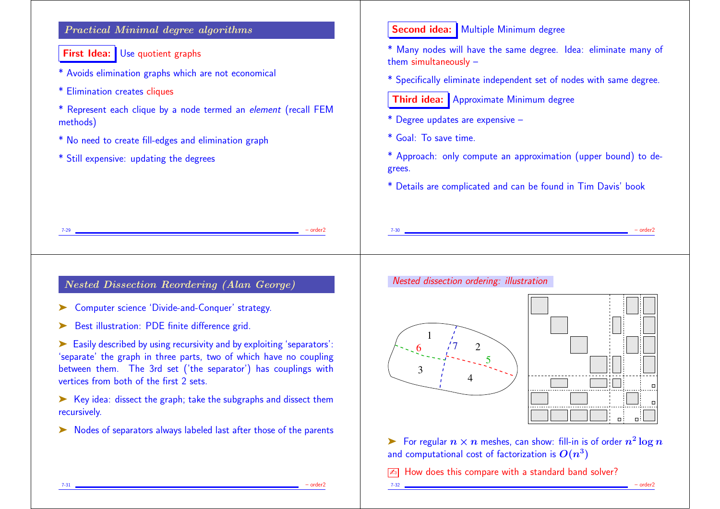# Practical Minimal degree algorithms

**First Idea:** Use quotient graphs

- \* Avoids elimination graphs which are not economical
- \* Elimination creates cliques
- \* Represent each clique by a node termed an element (recall FEM methods)
- \* No need to create fill-edges and elimination graph
- \* Still expensive: updating the degrees

### Second idea: Multiple Minimum degree

\* Many nodes will have the same degree. Idea: eliminate many of them simultaneously –

\* Specifically eliminate independent set of nodes with same degree.

**Third idea:** Approximate Minimum degree

\* Degree updates are expensive –

\* Goal: To save time.

\* Approach: only compute an approximation (upper bound) to degrees.

7-30 – order2

\* Details are complicated and can be found in Tim Davis' book

7-29 – order2

## Nested Dissection Reordering (Alan George)

- ➤ Computer science 'Divide-and-Conquer' strategy.
- ► Best illustration: PDE finite difference grid.

➤ Easily described by using recursivity and by exploiting 'separators': 'separate' the graph in three parts, two of which have no coupling between them. The 3rd set ('the separator') has couplings with vertices from both of the first 2 sets.

➤ Key idea: dissect the graph; take the subgraphs and dissect them recursively.

➤ Nodes of separators always labeled last after those of the parents

### Nested dissection ordering: illustration





▶ For regular  $n \times n$  meshes, can show: fill-in is of order  $n^2 \log n$ and computational cost of factorization is  $\bm{O}(n^3)$  .

7-32 – order2

 $\sqrt{2\pi}$  How does this compare with a standard band solver?

7-31 – order2